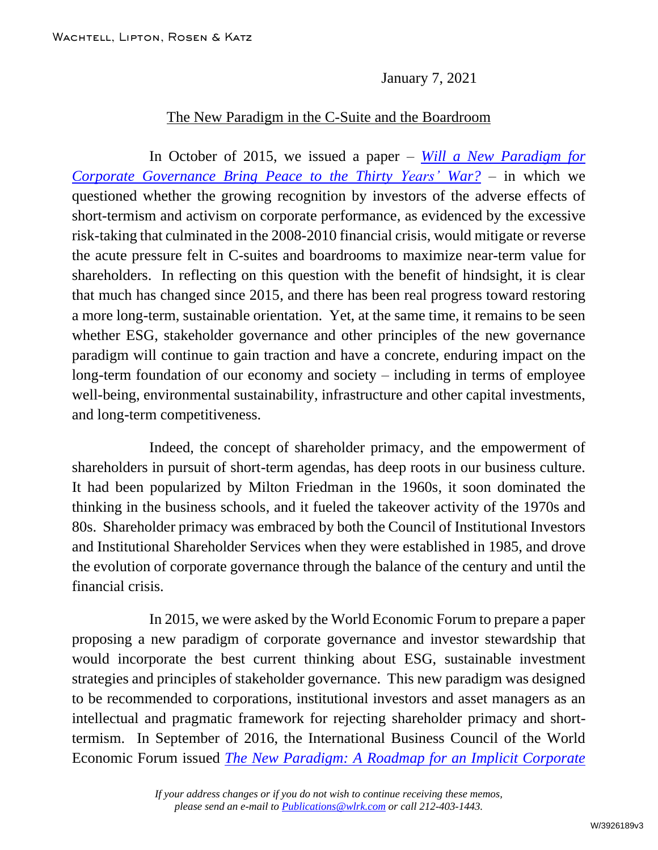January 7, 2021

## The New Paradigm in the C-Suite and the Boardroom

In October of 2015, we issued a paper – *[Will a New Paradigm for](https://www.wlrk.com/webdocs/wlrknew/WLRKMemos/WLRK/WLRK.25021.19.pdf)  [Corporate Governance Bring Peace](https://www.wlrk.com/webdocs/wlrknew/WLRKMemos/WLRK/WLRK.25021.19.pdf) to the Thirty Years' War?* – in which we questioned whether the growing recognition by investors of the adverse effects of short-termism and activism on corporate performance, as evidenced by the excessive risk-taking that culminated in the 2008-2010 financial crisis, would mitigate or reverse the acute pressure felt in C-suites and boardrooms to maximize near-term value for shareholders. In reflecting on this question with the benefit of hindsight, it is clear that much has changed since 2015, and there has been real progress toward restoring a more long-term, sustainable orientation. Yet, at the same time, it remains to be seen whether ESG, stakeholder governance and other principles of the new governance paradigm will continue to gain traction and have a concrete, enduring impact on the long-term foundation of our economy and society – including in terms of employee well-being, environmental sustainability, infrastructure and other capital investments, and long-term competitiveness.

Indeed, the concept of shareholder primacy, and the empowerment of shareholders in pursuit of short-term agendas, has deep roots in our business culture. It had been popularized by Milton Friedman in the 1960s, it soon dominated the thinking in the business schools, and it fueled the takeover activity of the 1970s and 80s. Shareholder primacy was embraced by both the Council of Institutional Investors and Institutional Shareholder Services when they were established in 1985, and drove the evolution of corporate governance through the balance of the century and until the financial crisis.

In 2015, we were asked by the World Economic Forum to prepare a paper proposing a new paradigm of corporate governance and investor stewardship that would incorporate the best current thinking about ESG, sustainable investment strategies and principles of stakeholder governance. This new paradigm was designed to be recommended to corporations, institutional investors and asset managers as an intellectual and pragmatic framework for rejecting shareholder primacy and shorttermism. In September of 2016, the International Business Council of the World Economic Forum issued *The New Paradigm: [A Roadmap for an Implicit Corporate](https://www.wlrk.com/webdocs/wlrknew/AttorneyPubs/WLRK.25960.16.pdf)* 

> *If your address changes or if you do not wish to continue receiving these memos, please send an e-mail to [Publications@wlrk.com](mailto:Publications@wlrk.com) or call 212-403-1443.*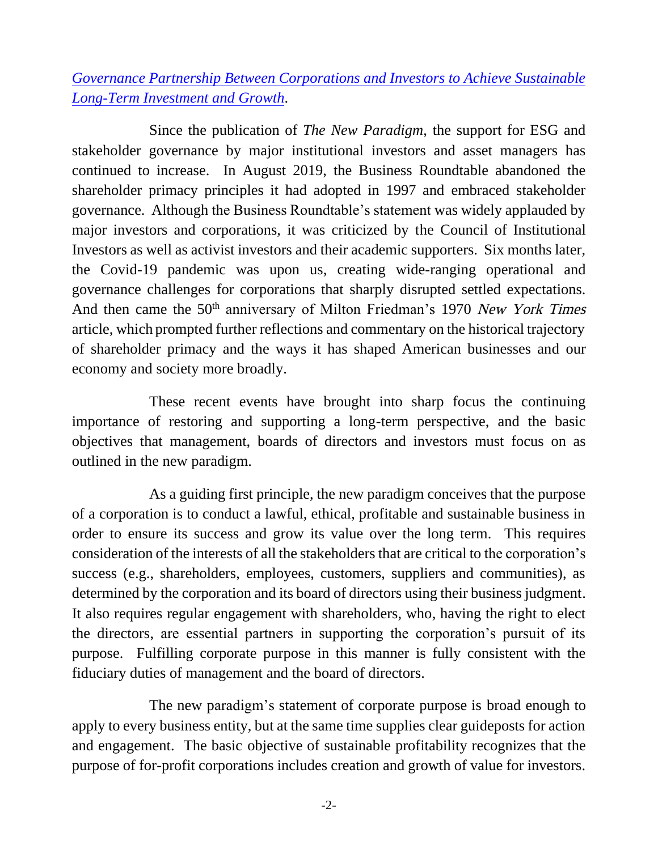## *[Governance Partnership Between Corporations and Investors to Achieve Sustainable](https://www.wlrk.com/webdocs/wlrknew/AttorneyPubs/WLRK.25960.16.pdf)  [Long-Term Investment and Growth](https://www.wlrk.com/webdocs/wlrknew/AttorneyPubs/WLRK.25960.16.pdf)*.

Since the publication of *The New Paradigm*, the support for ESG and stakeholder governance by major institutional investors and asset managers has continued to increase. In August 2019, the Business Roundtable abandoned the shareholder primacy principles it had adopted in 1997 and embraced stakeholder governance. Although the Business Roundtable's statement was widely applauded by major investors and corporations, it was criticized by the Council of Institutional Investors as well as activist investors and their academic supporters. Six months later, the Covid-19 pandemic was upon us, creating wide-ranging operational and governance challenges for corporations that sharply disrupted settled expectations. And then came the 50<sup>th</sup> anniversary of Milton Friedman's 1970 New York Times article, which prompted further reflections and commentary on the historical trajectory of shareholder primacy and the ways it has shaped American businesses and our economy and society more broadly.

These recent events have brought into sharp focus the continuing importance of restoring and supporting a long-term perspective, and the basic objectives that management, boards of directors and investors must focus on as outlined in the new paradigm.

As a guiding first principle, the new paradigm conceives that the purpose of a corporation is to conduct a lawful, ethical, profitable and sustainable business in order to ensure its success and grow its value over the long term. This requires consideration of the interests of all the stakeholders that are critical to the corporation's success (e.g., shareholders, employees, customers, suppliers and communities), as determined by the corporation and its board of directors using their business judgment. It also requires regular engagement with shareholders, who, having the right to elect the directors, are essential partners in supporting the corporation's pursuit of its purpose. Fulfilling corporate purpose in this manner is fully consistent with the fiduciary duties of management and the board of directors.

The new paradigm's statement of corporate purpose is broad enough to apply to every business entity, but at the same time supplies clear guideposts for action and engagement. The basic objective of sustainable profitability recognizes that the purpose of for-profit corporations includes creation and growth of value for investors.